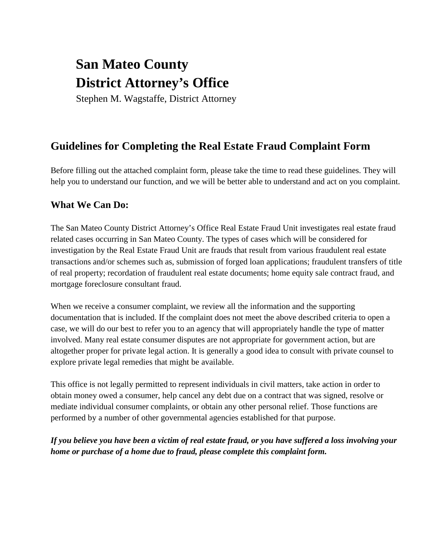# **San Mateo County District Attorney's Office**

Stephen M. Wagstaffe, District Attorney

## **Guidelines for Completing the Real Estate Fraud Complaint Form**

Before filling out the attached complaint form, please take the time to read these guidelines. They will help you to understand our function, and we will be better able to understand and act on you complaint.

## **What We Can Do:**

The San Mateo County District Attorney's Office Real Estate Fraud Unit investigates real estate fraud related cases occurring in San Mateo County. The types of cases which will be considered for investigation by the Real Estate Fraud Unit are frauds that result from various fraudulent real estate transactions and/or schemes such as, submission of forged loan applications; fraudulent transfers of title of real property; recordation of fraudulent real estate documents; home equity sale contract fraud, and mortgage foreclosure consultant fraud.

When we receive a consumer complaint, we review all the information and the supporting documentation that is included. If the complaint does not meet the above described criteria to open a case, we will do our best to refer you to an agency that will appropriately handle the type of matter involved. Many real estate consumer disputes are not appropriate for government action, but are altogether proper for private legal action. It is generally a good idea to consult with private counsel to explore private legal remedies that might be available.

This office is not legally permitted to represent individuals in civil matters, take action in order to obtain money owed a consumer, help cancel any debt due on a contract that was signed, resolve or mediate individual consumer complaints, or obtain any other personal relief. Those functions are performed by a number of other governmental agencies established for that purpose.

*If you believe you have been a victim of real estate fraud, or you have suffered a loss involving your home or purchase of a home due to fraud, please complete this complaint form.*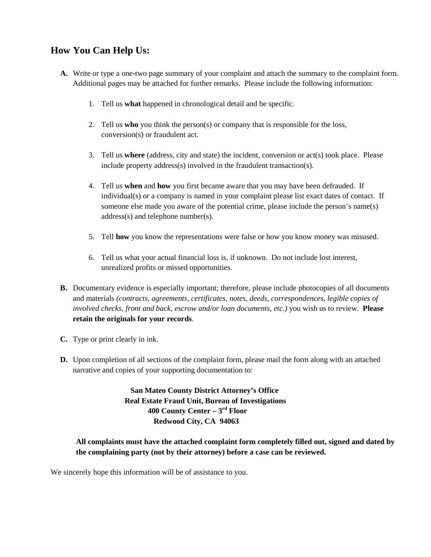### **How You Can Help Us:**

- **A.** Write or type a one-two page summary of your complaint and attach the summary to the complaint form. Additional pages may be attached for further remarks. Please include the following information:
	- 1. Tell us **what** happened in chronological detail and be specific.
	- 2. Tell us **who** you think the person(s) or company that is responsible for the loss, conversion(s) or fraudulent act.
	- 3. Tell us **where** (address, city and state) the incident, conversion or act(s) took place. Please include property address(s) involved in the fraudulent transaction(s).
	- 4. Tell us **when** and **how** you first became aware that you may have been defrauded. If individual(s) or a company is named in your complaint please list exact dates of contact. If someone else made you aware of the potential crime, please include the person's name(s) address(s) and telephone number(s).
	- 5. Tell **how** you know the representations were false or how you know money was misused.
	- 6. Tell us what your actual financial loss is, if unknown. Do not include lost interest, unrealized profits or missed opportunities.
- **B.** Documentary evidence is especially important; therefore, please include photocopies of all documents and materials *(contracts, agreements, certificates, notes, deeds, correspondences, legible copies of involved checks, front and back, escrow and/or loan documents, etc.)* you wish us to review. **Please retain the originals for your records**.
- **C.** Type or print clearly in ink.
- **D.** Upon completion of all sections of the complaint form, please mail the form along with an attached narrative and copies of your supporting documentation to:

 **San Mateo County District Attorney's Office Real Estate Fraud Unit, Bureau of Investigations 400 County Center – 3rd Floor Redwood City, CA 94063**

**All complaints must have the attached complaint form completely filled out, signed and dated by the complaining party (not by their attorney) before a case can be reviewed.**

We sincerely hope this information will be of assistance to you.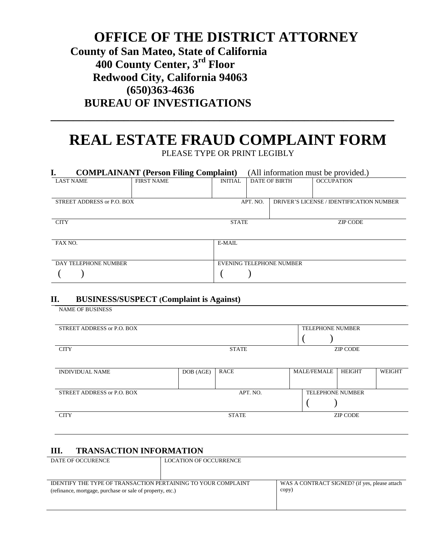## **OFFICE OF THE DISTRICT ATTORNEY County of San Mateo, State of California 400 County Center, 3rd Floor Redwood City, California 94063 (650)363-4636 BUREAU OF INVESTIGATIONS**

## **REAL ESTATE FRAUD COMPLAINT FORM** PLEASE TYPE OR PRINT LEGIBLY

**\_\_\_\_\_\_\_\_\_\_\_\_\_\_\_\_\_\_\_\_\_\_\_\_\_\_\_\_\_\_\_\_\_\_\_\_\_\_\_\_\_\_\_\_\_\_\_\_\_\_\_\_\_\_\_\_\_\_\_\_\_**

| <b>COMPLAINANT</b> (Person Filing Complaint) |                   |                          | (All information must be provided.) |  |                                          |  |  |
|----------------------------------------------|-------------------|--------------------------|-------------------------------------|--|------------------------------------------|--|--|
| <b>LAST NAME</b>                             | <b>FIRST NAME</b> | <b>INITIAL</b>           | <b>DATE OF BIRTH</b>                |  | <b>OCCUPATION</b>                        |  |  |
| STREET ADDRESS or P.O. BOX                   |                   |                          | APT. NO.                            |  | DRIVER'S LICENSE / IDENTIFICATION NUMBER |  |  |
| <b>CITY</b>                                  |                   | <b>STATE</b>             |                                     |  | <b>ZIP CODE</b>                          |  |  |
| FAX NO.                                      |                   | E-MAIL                   |                                     |  |                                          |  |  |
| DAY TELEPHONE NUMBER                         |                   | EVENING TELEPHONE NUMBER |                                     |  |                                          |  |  |
|                                              |                   |                          |                                     |  |                                          |  |  |

#### **II. BUSINESS/SUSPECT (Complaint is Against)**

NAME OF BUSINESS

| STREET ADDRESS or P.O. BOX |              |              | <b>TELEPHONE NUMBER</b> |                 |        |  |
|----------------------------|--------------|--------------|-------------------------|-----------------|--------|--|
|                            |              |              |                         |                 |        |  |
| <b>CITY</b>                | <b>STATE</b> |              | <b>ZIP CODE</b>         |                 |        |  |
|                            |              |              |                         |                 |        |  |
| <b>INDIVIDUAL NAME</b>     | DOB (AGE)    | <b>RACE</b>  | <b>MALE/FEMALE</b>      | <b>HEIGHT</b>   | WEIGHT |  |
|                            |              |              |                         |                 |        |  |
| STREET ADDRESS or P.O. BOX |              | APT. NO.     | <b>TELEPHONE NUMBER</b> |                 |        |  |
|                            |              |              |                         |                 |        |  |
| <b>CITY</b>                |              | <b>STATE</b> |                         | <b>ZIP CODE</b> |        |  |
|                            |              |              |                         |                 |        |  |

### **III. TRANSACTION INFORMATION**

| DATE OF OCCURENCE                                                                                                          | <b>LOCATION OF OCCURRENCE</b> |                                                        |
|----------------------------------------------------------------------------------------------------------------------------|-------------------------------|--------------------------------------------------------|
| IDENTIFY THE TYPE OF TRANSACTION PERTAINING TO YOUR COMPLAINT<br>(refinance, mortgage, purchase or sale of property, etc.) |                               | WAS A CONTRACT SIGNED? (if yes, please attach<br>copy) |
|                                                                                                                            |                               |                                                        |